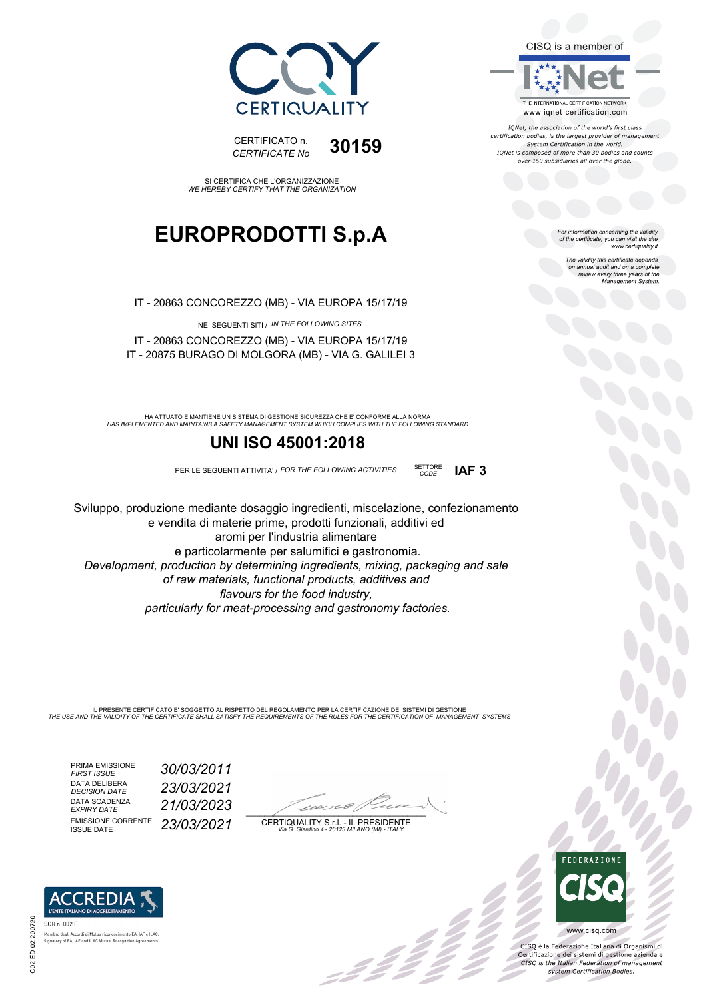



IONet, the association of the world's first class certification bodies, is the largest provider of management<br>System Certification in the world. IQNet is composed of more than 30 bodies and counts

For information concerning the validity<br>of the certificate, you can visit the site<br>www.certiquality.it

on annual audit and on a complete review every three years of the Management System.



*CODE* **IAF 3**

The validity this certificate depends



CERTIFICATO n. *CERTIFICATE No* **30159**

#### SI CERTIFICA CHE L'ORGANIZZAZIONE *WE HEREBY CERTIFY THAT THE ORGANIZATION*

## **EUROPRODOTTI S.p.A**

IT - 20863 CONCOREZZO (MB) - VIA EUROPA 15/17/19

NEI SEGUENTI SITI / *IN THE FOLLOWING SITES* IT - 20863 CONCOREZZO (MB) - VIA EUROPA 15/17/19 IT - 20875 BURAGO DI MOLGORA (MB) - VIA G. GALILEI 3

*HAS IMPLEMENTED AND MAINTAINS A SAFETY MANAGEMENT SYSTEM WHICH COMPLIES WITH THE FOLLOWING STANDARD* HA ATTUATO E MANTIENE UN SISTEMA DI GESTIONE SICUREZZA CHE E' CONFORME ALLA NORMA

### **UNI ISO 45001:2018**

PER LE SEGUENTI ATTIVITA' / *FOR THE FOLLOWING ACTIVITIES* SETTORE

Sviluppo, produzione mediante dosaggio ingredienti, miscelazione, confezionamento e vendita di materie prime, prodotti funzionali, additivi ed aromi per l'industria alimentare e particolarmente per salumifici e gastronomia. *Development, production by determining ingredients, mixing, packaging and sale of raw materials, functional products, additives and flavours for the food industry, particularly for meat-processing and gastronomy factories.*

IL PRESENTE CERTIFICATO E' SOGGETTO AL RISPETTO DEL REGOLAMENTO PER LA CERTIFICAZIONE DEI SISTEMI DI GESTIONE<br>THE USE AND THE VALIDITY OF THE CERTIFICATE SHALL SATISFY THE REQUIREMENTS OF THE RULES FOR THE CERTIFICATION OF

PRIMA EMISSIONE *FIRST ISSUE 30/03/2011* DATA DELIBERA<br>DECISION DATE DATA SCADENZA<br>EXPIRY DATE EMISSIONE CORRENTE<br>ISSUE DATE

'RED

enli Accordi di Mutuo ri Signatory of EA, IAF and ILAC Mutual Recognition Agre

scimento EA, IAF e ILAC

*DECISION DATE 23/03/2021 EXPIRY DATE 21/03/2023* ISSUE DATE *23/03/2021*

 $\overline{\phantom{a}}$ 

-22 Z Z Z

CERTIQUALITY S.r.l. - IL PRESIDENTE *Via G. Giardino 4 - 20123 MILANO (MI) - ITALY*



 $\frac{1}{2}$ 

www.cisq.com

CISQ è la Federazione Italiana di Organismi di Certificazione dei sistemi di gestione aziendale.<br>CESQ is the Italian Federation of management system Certification Bodies.

SCR n. 002 F